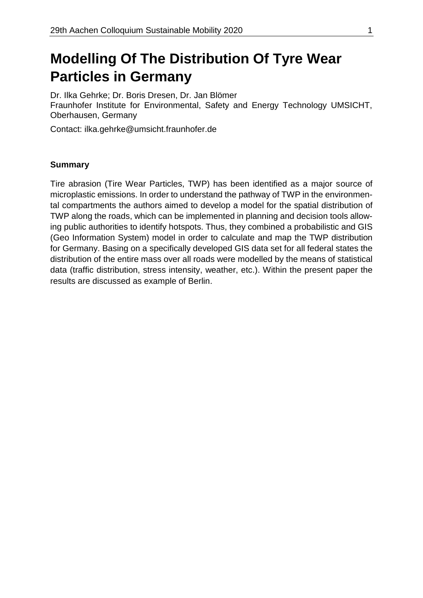# **Modelling Of The Distribution Of Tyre Wear Particles in Germany**

Dr. Ilka Gehrke; Dr. Boris Dresen, Dr. Jan Blömer Fraunhofer Institute for Environmental, Safety and Energy Technology UMSICHT, Oberhausen, Germany

Contact: [ilka.gehrke@u](mailto:ilka.gehrke@)msicht.fraunhofer.de

#### **Summary**

Tire abrasion (Tire Wear Particles, TWP) has been identified as a major source of microplastic emissions. In order to understand the pathway of TWP in the environmental compartments the authors aimed to develop a model for the spatial distribution of TWP along the roads, which can be implemented in planning and decision tools allowing public authorities to identify hotspots. Thus, they combined a probabilistic and GIS (Geo Information System) model in order to calculate and map the TWP distribution for Germany. Basing on a specifically developed GIS data set for all federal states the distribution of the entire mass over all roads were modelled by the means of statistical data (traffic distribution, stress intensity, weather, etc.). Within the present paper the results are discussed as example of Berlin.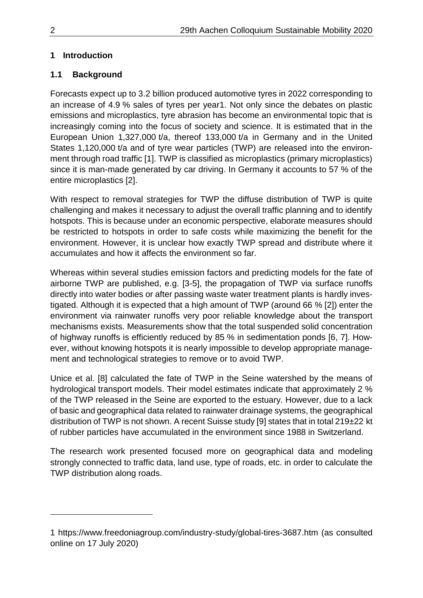# **1 Introduction**

# **1.1 Background**

Forecasts expect up to 3.2 billion produced automotive tyres in 2022 corresponding to an increase of 4.9 % sales of tyres per year1. Not only since the debates on plastic emissions and microplastics, tyre abrasion has become an environmental topic that is increasingly coming into the focus of society and science. It is estimated that in the European Union 1,327,000 t/a, thereof 133,000 t/a in Germany and in the United States 1,120,000 t/a and of tyre wear particles (TWP) are released into the environment through road traffic [1]. TWP is classified as microplastics (primary microplastics) since it is man-made generated by car driving. In Germany it accounts to 57 % of the entire microplastics [2].

With respect to removal strategies for TWP the diffuse distribution of TWP is quite challenging and makes it necessary to adjust the overall traffic planning and to identify hotspots. This is because under an economic perspective, elaborate measures should be restricted to hotspots in order to safe costs while maximizing the benefit for the environment. However, it is unclear how exactly TWP spread and distribute where it accumulates and how it affects the environment so far.

Whereas within several studies emission factors and predicting models for the fate of airborne TWP are published, e.g. [3-5], the propagation of TWP via surface runoffs directly into water bodies or after passing waste water treatment plants is hardly investigated. Although it is expected that a high amount of TWP (around 66 % [2]) enter the environment via rainwater runoffs very poor reliable knowledge about the transport mechanisms exists. Measurements show that the total suspended solid concentration of highway runoffs is efficiently reduced by 85 % in sedimentation ponds [6, 7]. However, without knowing hotspots it is nearly impossible to develop appropriate management and technological strategies to remove or to avoid TWP.

Unice et al. [8] calculated the fate of TWP in the Seine watershed by the means of hydrological transport models. Their model estimates indicate that approximately 2 % of the TWP released in the Seine are exported to the estuary. However, due to a lack of basic and geographical data related to rainwater drainage systems, the geographical distribution of TWP is not shown. A recent Suisse study [9] states that in total 219±22 kt of rubber particles have accumulated in the environment since 1988 in Switzerland.

The research work presented focused more on geographical data and modeling strongly connected to traffic data, land use, type of roads, etc. in order to calculate the TWP distribution along roads.

1

<sup>1</sup> <https://www.freedoniagroup.com/industry-study/global-tires-3687.htm> (as consulted online on 17 July 2020)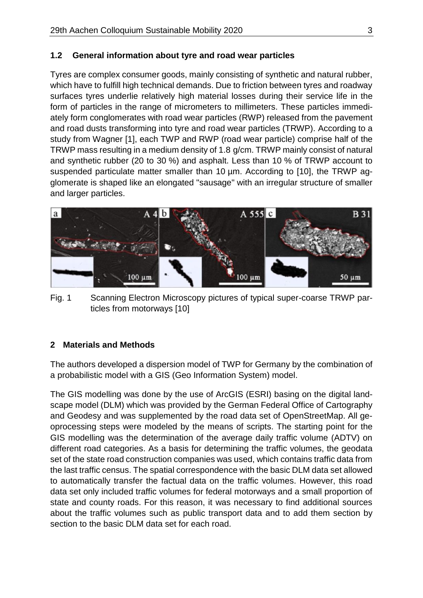## **1.2 General information about tyre and road wear particles**

Tyres are complex consumer goods, mainly consisting of synthetic and natural rubber, which have to fulfill high technical demands. Due to friction between tyres and roadway surfaces tyres underlie relatively high material losses during their service life in the form of particles in the range of micrometers to millimeters. These particles immediately form conglomerates with road wear particles (RWP) released from the pavement and road dusts transforming into tyre and road wear particles (TRWP). According to a study from Wagner [1], each TWP and RWP (road wear particle) comprise half of the TRWP mass resulting in a medium density of 1.8 g/cm. TRWP mainly consist of natural and synthetic rubber (20 to 30 %) and asphalt. Less than 10 % of TRWP account to suspended particulate matter smaller than 10  $\mu$ m. According to [10], the TRWP agglomerate is shaped like an elongated "sausage" with an irregular structure of smaller and larger particles.



Fig. 1 Scanning Electron Microscopy pictures of typical super-coarse TRWP particles from motorways [10]

## **2 Materials and Methods**

The authors developed a dispersion model of TWP for Germany by the combination of a probabilistic model with a GIS (Geo Information System) model.

The GIS modelling was done by the use of ArcGIS (ESRI) basing on the digital landscape model (DLM) which was provided by the German Federal Office of Cartography and Geodesy and was supplemented by the road data set of OpenStreetMap. All geoprocessing steps were modeled by the means of scripts. The starting point for the GIS modelling was the determination of the average daily traffic volume (ADTV) on different road categories. As a basis for determining the traffic volumes, the geodata set of the state road construction companies was used, which contains traffic data from the last traffic census. The spatial correspondence with the basic DLM data set allowed to automatically transfer the factual data on the traffic volumes. However, this road data set only included traffic volumes for federal motorways and a small proportion of state and county roads. For this reason, it was necessary to find additional sources about the traffic volumes such as public transport data and to add them section by section to the basic DLM data set for each road.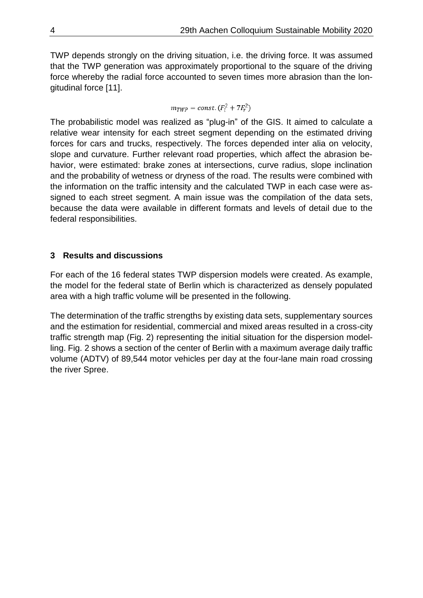TWP depends strongly on the driving situation, i.e. the driving force. It was assumed that the TWP generation was approximately proportional to the square of the driving force whereby the radial force accounted to seven times more abrasion than the longitudinal force [11].

$$
m_{TWP} = const. (F_l^2 + 7F_r^2)
$$

The probabilistic model was realized as "plug-in" of the GIS. It aimed to calculate a relative wear intensity for each street segment depending on the estimated driving forces for cars and trucks, respectively. The forces depended inter alia on velocity, slope and curvature. Further relevant road properties, which affect the abrasion behavior, were estimated: brake zones at intersections, curve radius, slope inclination and the probability of wetness or dryness of the road. The results were combined with the information on the traffic intensity and the calculated TWP in each case were assigned to each street segment. A main issue was the compilation of the data sets, because the data were available in different formats and levels of detail due to the federal responsibilities.

## **3 Results and discussions**

For each of the 16 federal states TWP dispersion models were created. As example, the model for the federal state of Berlin which is characterized as densely populated area with a high traffic volume will be presented in the following.

The determination of the traffic strengths by existing data sets, supplementary sources and the estimation for residential, commercial and mixed areas resulted in a cross-city traffic strength map (Fig. 2) representing the initial situation for the dispersion modelling. Fig. 2 shows a section of the center of Berlin with a maximum average daily traffic volume (ADTV) of 89,544 motor vehicles per day at the four-lane main road crossing the river Spree.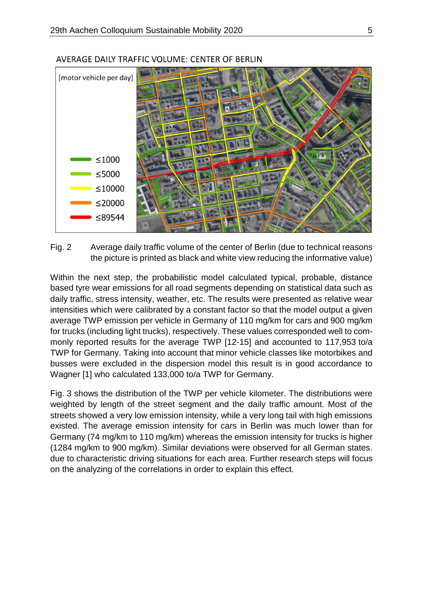

#### AVERAGE DAILY TRAFFIC VOLUME: CENTER OF BERLIN

Fig. 2 Average daily traffic volume of the center of Berlin (due to technical reasons the picture is printed as black and white view reducing the informative value)

Within the next step, the probabilistic model calculated typical, probable, distance based tyre wear emissions for all road segments depending on statistical data such as daily traffic, stress intensity, weather, etc. The results were presented as relative wear intensities which were calibrated by a constant factor so that the model output a given average TWP emission per vehicle in Germany of 110 mg/km for cars and 900 mg/km for trucks (including light trucks), respectively. These values corresponded well to commonly reported results for the average TWP [12-15] and accounted to 117,953 to/a TWP for Germany. Taking into account that minor vehicle classes like motorbikes and busses were excluded in the dispersion model this result is in good accordance to Wagner [1] who calculated 133,000 to/a TWP for Germany.

Fig. 3 shows the distribution of the TWP per vehicle kilometer. The distributions were weighted by length of the street segment and the daily traffic amount. Most of the streets showed a very low emission intensity, while a very long tail with high emissions existed. The average emission intensity for cars in Berlin was much lower than for Germany (74 mg/km to 110 mg/km) whereas the emission intensity for trucks is higher (1284 mg/km to 900 mg/km). Similar deviations were observed for all German states. due to characteristic driving situations for each area. Further research steps will focus on the analyzing of the correlations in order to explain this effect.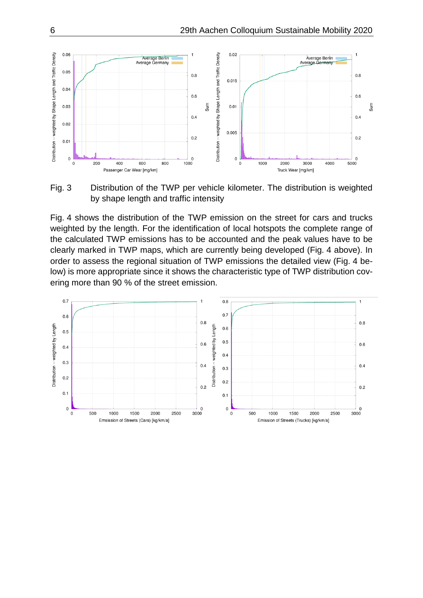

Fig. 3 Distribution of the TWP per vehicle kilometer. The distribution is weighted by shape length and traffic intensity

Fig. 4 shows the distribution of the TWP emission on the street for cars and trucks weighted by the length. For the identification of local hotspots the complete range of the calculated TWP emissions has to be accounted and the peak values have to be clearly marked in TWP maps, which are currently being developed (Fig. 4 above). In order to assess the regional situation of TWP emissions the detailed view (Fig. 4 below) is more appropriate since it shows the characteristic type of TWP distribution covering more than 90 % of the street emission.

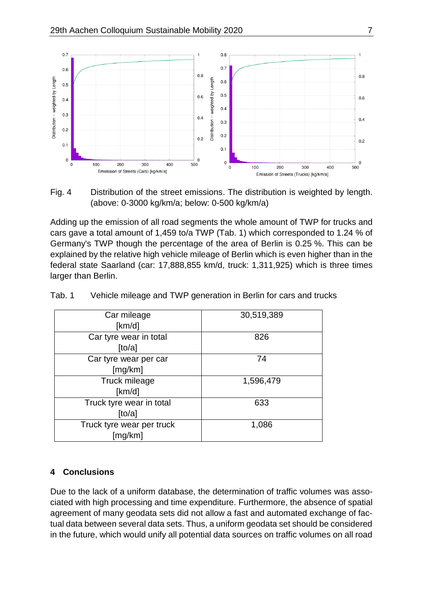

Fig. 4 Distribution of the street emissions. The distribution is weighted by length. (above: 0-3000 kg/km/a; below: 0-500 kg/km/a)

Adding up the emission of all road segments the whole amount of TWP for trucks and cars gave a total amount of 1,459 to/a TWP (Tab. 1) which corresponded to 1.24 % of Germany's TWP though the percentage of the area of Berlin is 0.25 %. This can be explained by the relative high vehicle mileage of Berlin which is even higher than in the federal state Saarland (car: 17,888,855 km/d, truck: 1,311,925) which is three times larger than Berlin.

| Car mileage<br>[km/d]                | 30,519,389 |  |
|--------------------------------------|------------|--|
| Car tyre wear in total<br>[to/a]     | 826        |  |
| Car tyre wear per car<br>[mg/km]     | 74         |  |
| Truck mileage<br>[km/d]              | 1,596,479  |  |
| Truck tyre wear in total<br>[to/a]   | 633        |  |
| Truck tyre wear per truck<br>[mg/km] | 1,086      |  |

|  | Tab. 1 | Vehicle mileage and TWP generation in Berlin for cars and trucks |  |  |  |
|--|--------|------------------------------------------------------------------|--|--|--|
|--|--------|------------------------------------------------------------------|--|--|--|

#### **4 Conclusions**

Due to the lack of a uniform database, the determination of traffic volumes was associated with high processing and time expenditure. Furthermore, the absence of spatial agreement of many geodata sets did not allow a fast and automated exchange of factual data between several data sets. Thus, a uniform geodata set should be considered in the future, which would unify all potential data sources on traffic volumes on all road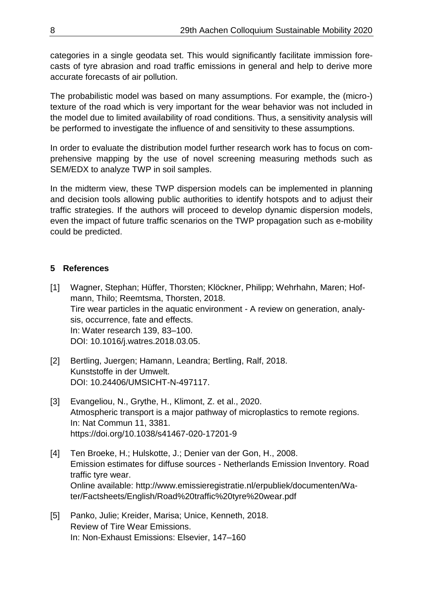categories in a single geodata set. This would significantly facilitate immission forecasts of tyre abrasion and road traffic emissions in general and help to derive more accurate forecasts of air pollution.

The probabilistic model was based on many assumptions. For example, the (micro-) texture of the road which is very important for the wear behavior was not included in the model due to limited availability of road conditions. Thus, a sensitivity analysis will be performed to investigate the influence of and sensitivity to these assumptions.

In order to evaluate the distribution model further research work has to focus on comprehensive mapping by the use of novel screening measuring methods such as SEM/EDX to analyze TWP in soil samples.

In the midterm view, these TWP dispersion models can be implemented in planning and decision tools allowing public authorities to identify hotspots and to adjust their traffic strategies. If the authors will proceed to develop dynamic dispersion models, even the impact of future traffic scenarios on the TWP propagation such as e-mobility could be predicted.

## **5 References**

- [1] Wagner, Stephan; Hüffer, Thorsten; Klöckner, Philipp; Wehrhahn, Maren; Hofmann, Thilo; Reemtsma, Thorsten, 2018. Tire wear particles in the aquatic environment - A review on generation, analysis, occurrence, fate and effects. In: Water research 139, 83–100. DOI: 10.1016/j.watres.2018.03.05.
- [2] Bertling, Juergen; Hamann, Leandra; Bertling, Ralf, 2018. Kunststoffe in der Umwelt. DOI: 10.24406/UMSICHT-N-497117.
- [3] Evangeliou, N., Grythe, H., Klimont, Z. et al., 2020. Atmospheric transport is a major pathway of microplastics to remote regions. In: Nat Commun 11, 3381. <https://doi.org/10.1038/s41467-020-17201-9>
- [4] Ten Broeke, H.; Hulskotte, J.; Denier van der Gon, H., 2008. Emission estimates for diffuse sources - Netherlands Emission Inventory. Road traffic tyre wear. Online available: [http://www.emissieregistratie.nl/erpubliek/documenten/Wa](http://www.emissieregistratie.nl/erpubliek/documenten/Water/Factsheets/English/Road%20traffic%20tyre%20wear.pdf)[ter/Factsheets/English/Road%20traffic%20tyre%20wear.pdf](http://www.emissieregistratie.nl/erpubliek/documenten/Water/Factsheets/English/Road%20traffic%20tyre%20wear.pdf)
- [5] Panko, Julie; Kreider, Marisa; Unice, Kenneth, 2018. Review of Tire Wear Emissions. In: Non-Exhaust Emissions: Elsevier, 147–160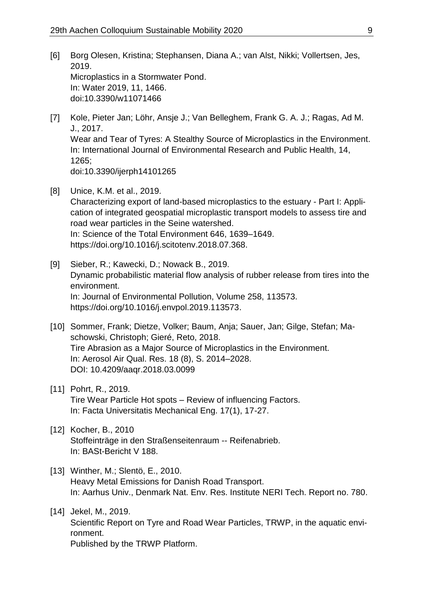- [6] Borg Olesen, Kristina; Stephansen, Diana A.; van Alst, Nikki; Vollertsen, Jes, 2019. Microplastics in a Stormwater Pond. In: Water 2019, 11, 1466. doi:10.3390/w11071466
- [7] Kole, Pieter Jan; Löhr, Ansje J.; Van Belleghem, Frank G. A. J.; Ragas, Ad M. J., 2017. Wear and Tear of Tyres: A Stealthy Source of Microplastics in the Environment. In: International Journal of Environmental Research and Public Health, 14, 1265; doi:10.3390/ijerph14101265
- [8] Unice, K.M. et al., 2019. Characterizing export of land-based microplastics to the estuary - Part I: Application of integrated geospatial microplastic transport models to assess tire and road wear particles in the Seine watershed. In: Science of the Total Environment 646, 1639–1649. [https://doi.org/10.1016/j.scitotenv.2018.07.368.](https://doi.org/10.1016/j.scitotenv.2018.07.368)
- [9] Sieber, R.; Kawecki, D.; Nowack B., 2019. Dynamic probabilistic material flow analysis of rubber release from tires into the environment. In: Journal of Environmental Pollution, Volume 258, 113573. [https://doi.org/10.1016/j.envpol.2019.113573.](https://doi.org/10.1016/j.envpol.2019.113573)
- [10] Sommer, Frank; Dietze, Volker; Baum, Anja; Sauer, Jan; Gilge, Stefan; Maschowski, Christoph; Gieré, Reto, 2018. Tire Abrasion as a Major Source of Microplastics in the Environment. In: Aerosol Air Qual. Res. 18 (8), S. 2014–2028. DOI: 10.4209/aaqr.2018.03.0099
- [11] Pohrt, R., 2019. Tire Wear Particle Hot spots – Review of influencing Factors. In: Facta Universitatis Mechanical Eng. 17(1), 17-27.
- [12] Kocher, B., 2010 Stoffeinträge in den Straßenseitenraum -- Reifenabrieb. In: BASt-Bericht V 188.
- [13] Winther, M.; Slentö, E., 2010. Heavy Metal Emissions for Danish Road Transport. In: Aarhus Univ., Denmark Nat. Env. Res. Institute NERI Tech. Report no. 780.
- [14] Jekel, M., 2019. Scientific Report on Tyre and Road Wear Particles, TRWP, in the aquatic environment. Published by the TRWP Platform.